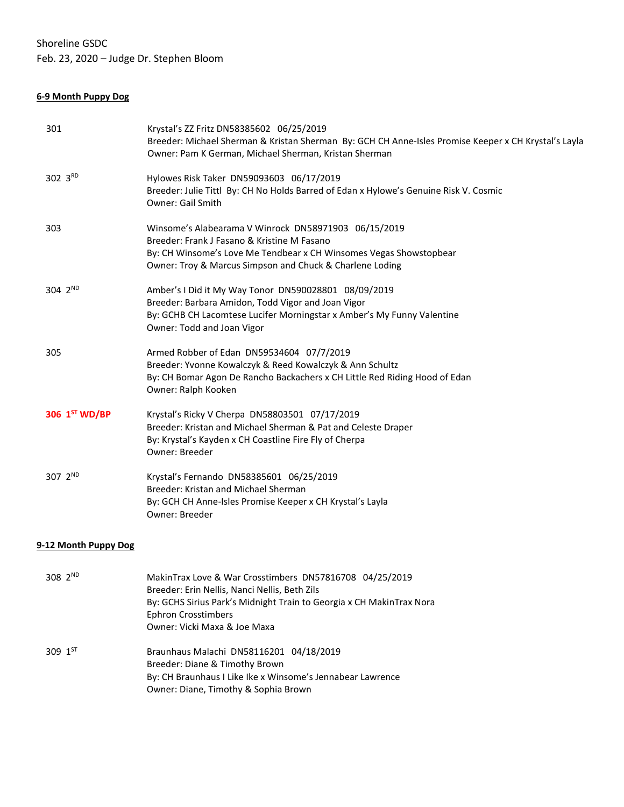Shoreline GSDC Feb. 23, 2020 – Judge Dr. Stephen Bloom

# **6-9 Month Puppy Dog**

| 301                  | Krystal's ZZ Fritz DN58385602 06/25/2019<br>Breeder: Michael Sherman & Kristan Sherman By: GCH CH Anne-Isles Promise Keeper x CH Krystal's Layla<br>Owner: Pam K German, Michael Sherman, Kristan Sherman                                      |
|----------------------|------------------------------------------------------------------------------------------------------------------------------------------------------------------------------------------------------------------------------------------------|
| 302 3RD              | Hylowes Risk Taker DN59093603 06/17/2019<br>Breeder: Julie Tittl By: CH No Holds Barred of Edan x Hylowe's Genuine Risk V. Cosmic<br>Owner: Gail Smith                                                                                         |
| 303                  | Winsome's Alabearama V Winrock DN58971903 06/15/2019<br>Breeder: Frank J Fasano & Kristine M Fasano<br>By: CH Winsome's Love Me Tendbear x CH Winsomes Vegas Showstopbear<br>Owner: Troy & Marcus Simpson and Chuck & Charlene Loding          |
| 304 2 <sup>ND</sup>  | Amber's I Did it My Way Tonor DN590028801 08/09/2019<br>Breeder: Barbara Amidon, Todd Vigor and Joan Vigor<br>By: GCHB CH Lacomtese Lucifer Morningstar x Amber's My Funny Valentine<br>Owner: Todd and Joan Vigor                             |
| 305                  | Armed Robber of Edan DN59534604 07/7/2019<br>Breeder: Yvonne Kowalczyk & Reed Kowalczyk & Ann Schultz<br>By: CH Bomar Agon De Rancho Backachers x CH Little Red Riding Hood of Edan<br>Owner: Ralph Kooken                                     |
| 306 1ST WD/BP        | Krystal's Ricky V Cherpa DN58803501 07/17/2019<br>Breeder: Kristan and Michael Sherman & Pat and Celeste Draper<br>By: Krystal's Kayden x CH Coastline Fire Fly of Cherpa<br>Owner: Breeder                                                    |
| 307 2 <sup>ND</sup>  | Krystal's Fernando DN58385601 06/25/2019<br>Breeder: Kristan and Michael Sherman<br>By: GCH CH Anne-Isles Promise Keeper x CH Krystal's Layla<br>Owner: Breeder                                                                                |
| 9-12 Month Puppy Dog |                                                                                                                                                                                                                                                |
| 308 2ND              | MakinTrax Love & War Crosstimbers DN57816708 04/25/2019<br>Breeder: Erin Nellis, Nanci Nellis, Beth Zils<br>By: GCHS Sirius Park's Midnight Train to Georgia x CH MakinTrax Nora<br><b>Ephron Crosstimbers</b><br>Owner: Vicki Maxa & Joe Maxa |
| 309 1ST              | Braunhaus Malachi DN58116201 04/18/2019<br>Breeder: Diane & Timothy Brown<br>By: CH Braunhaus I Like Ike x Winsome's Jennabear Lawrence                                                                                                        |

Owner: Diane, Timothy & Sophia Brown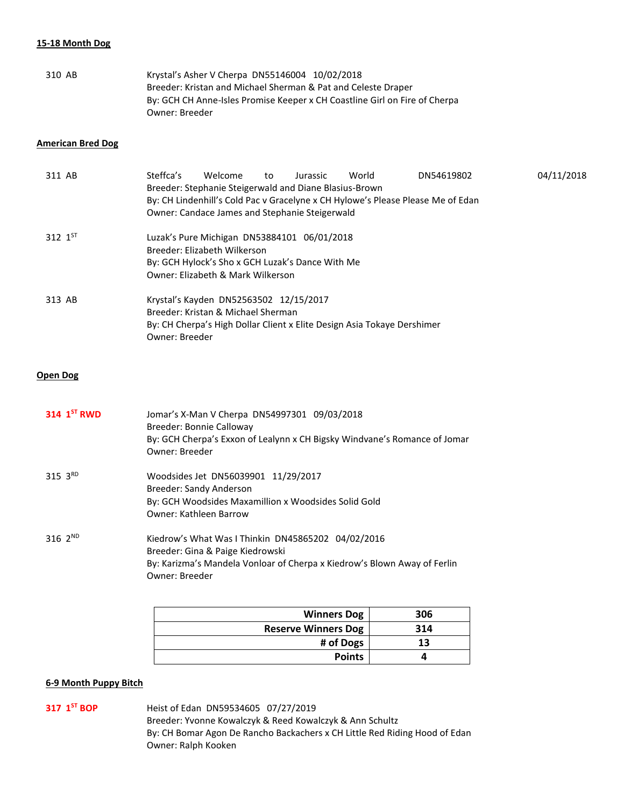#### **15-18 Month Dog**

| 310 AB | Krystal's Asher V Cherpa DN55146004 10/02/2018                             |
|--------|----------------------------------------------------------------------------|
|        | Breeder: Kristan and Michael Sherman & Pat and Celeste Draper              |
|        | By: GCH CH Anne-Isles Promise Keeper x CH Coastline Girl on Fire of Cherpa |
|        | Owner: Breeder                                                             |

### **American Bred Dog**

| 311 AB       | Steffca's      | Welcome<br>Breeder: Stephanie Steigerwald and Diane Blasius-Brown<br>Owner: Candace James and Stephanie Steigerwald                                                  | to | Jurassic | World | DN54619802<br>By: CH Lindenhill's Cold Pac v Gracelyne x CH Hylowe's Please Please Me of Edan | 04/11/2018 |
|--------------|----------------|----------------------------------------------------------------------------------------------------------------------------------------------------------------------|----|----------|-------|-----------------------------------------------------------------------------------------------|------------|
| 312 $1^{51}$ |                | Luzak's Pure Michigan DN53884101 06/01/2018<br>Breeder: Flizabeth Wilkerson<br>By: GCH Hylock's Sho x GCH Luzak's Dance With Me<br>Owner: Elizabeth & Mark Wilkerson |    |          |       |                                                                                               |            |
| 313 AB       | Owner: Breeder | Krystal's Kayden DN52563502 12/15/2017<br>Breeder: Kristan & Michael Sherman<br>By: CH Cherpa's High Dollar Client x Elite Design Asia Tokaye Dershimer              |    |          |       |                                                                                               |            |

# **Open Dog**

| 314 $1ST$ RWD | Jomar's X-Man V Cherpa DN54997301 09/03/2018<br>Breeder: Bonnie Calloway<br>By: GCH Cherpa's Exxon of Lealynn x CH Bigsky Windvane's Romance of Jomar<br>Owner: Breeder              |
|---------------|--------------------------------------------------------------------------------------------------------------------------------------------------------------------------------------|
| 315 $3^{RD}$  | Woodsides Jet DN56039901 11/29/2017<br>Breeder: Sandy Anderson<br>By: GCH Woodsides Maxamillion x Woodsides Solid Gold<br><b>Owner: Kathleen Barrow</b>                              |
| 316 $2^{ND}$  | Kiedrow's What Was I Thinkin DN45865202 04/02/2016<br>Breeder: Gina & Paige Kiedrowski<br>By: Karizma's Mandela Vonloar of Cherpa x Kiedrow's Blown Away of Ferlin<br>Owner: Breeder |

| <b>Winners Dog</b>         | 306 |
|----------------------------|-----|
| <b>Reserve Winners Dog</b> | 314 |
| # of Dogs                  | 13  |
| <b>Points</b>              |     |

# **6-9 Month Puppy Bitch**

# 317 1<sup>ST</sup> BOP

**ST BOP** Heist of Edan DN59534605 07/27/2019 Breeder: Yvonne Kowalczyk & Reed Kowalczyk & Ann Schultz By: CH Bomar Agon De Rancho Backachers x CH Little Red Riding Hood of Edan Owner: Ralph Kooken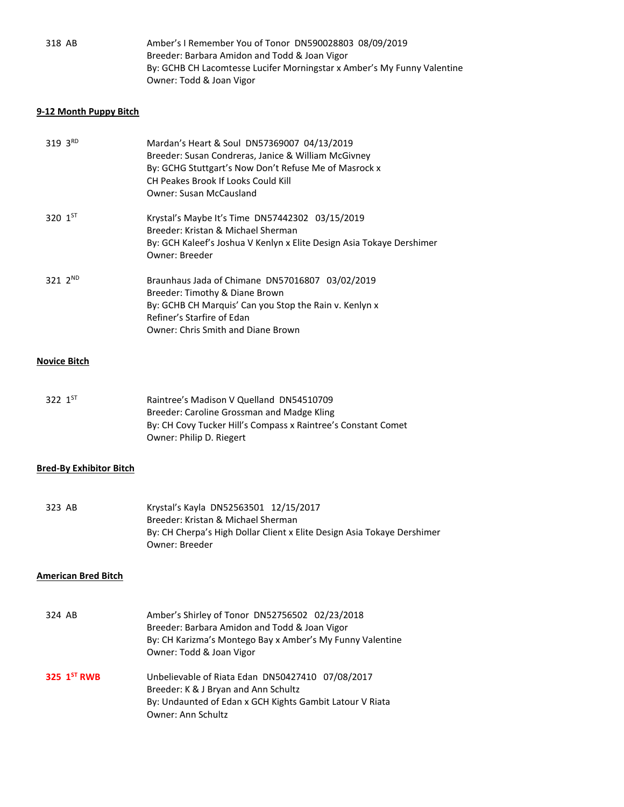| 318 AB | Amber's I Remember You of Tonor DN590028803 08/09/2019                  |
|--------|-------------------------------------------------------------------------|
|        | Breeder: Barbara Amidon and Todd & Joan Vigor                           |
|        | By: GCHB CH Lacomtesse Lucifer Morningstar x Amber's My Funny Valentine |
|        | Owner: Todd & Joan Vigor                                                |

# **9-12 Month Puppy Bitch**

| 319 3RD             | Mardan's Heart & Soul DN57369007 04/13/2019<br>Breeder: Susan Condreras, Janice & William McGivney<br>By: GCHG Stuttgart's Now Don't Refuse Me of Masrock x<br>CH Peakes Brook If Looks Could Kill<br><b>Owner: Susan McCausland</b> |
|---------------------|--------------------------------------------------------------------------------------------------------------------------------------------------------------------------------------------------------------------------------------|
| 320 $1^{51}$        | Krystal's Maybe It's Time DN57442302 03/15/2019<br>Breeder: Kristan & Michael Sherman<br>By: GCH Kaleef's Joshua V Kenlyn x Elite Design Asia Tokaye Dershimer<br>Owner: Breeder                                                     |
| 321 $2^{ND}$        | Braunhaus Jada of Chimane DN57016807 03/02/2019<br>Breeder: Timothy & Diane Brown<br>By: GCHB CH Marquis' Can you Stop the Rain v. Kenlyn x<br>Refiner's Starfire of Edan<br>Owner: Chris Smith and Diane Brown                      |
| <b>Novice Bitch</b> |                                                                                                                                                                                                                                      |

#### 322 1ST Raintree's Madison V Quelland DN54510709 Breeder: Caroline Grossman and Madge Kling By: CH Covy Tucker Hill's Compass x Raintree's Constant Comet Owner: Philip D. Riegert

## **Bred-By Exhibitor Bitch**

323 AB Krystal's Kayla DN52563501 12/15/2017 Breeder: Kristan & Michael Sherman By: CH Cherpa's High Dollar Client x Elite Design Asia Tokaye Dershimer Owner: Breeder

### **American Bred Bitch**

| 324 AB        | Amber's Shirley of Tonor DN52756502 02/23/2018<br>Breeder: Barbara Amidon and Todd & Joan Vigor<br>By: CH Karizma's Montego Bay x Amber's My Funny Valentine<br>Owner: Todd & Joan Vigor |
|---------------|------------------------------------------------------------------------------------------------------------------------------------------------------------------------------------------|
| 325 $1ST$ RWB | Unbelievable of Riata Edan DN50427410 07/08/2017<br>Breeder: K & J Bryan and Ann Schultz<br>By: Undaunted of Edan x GCH Kights Gambit Latour V Riata<br>Owner: Ann Schultz               |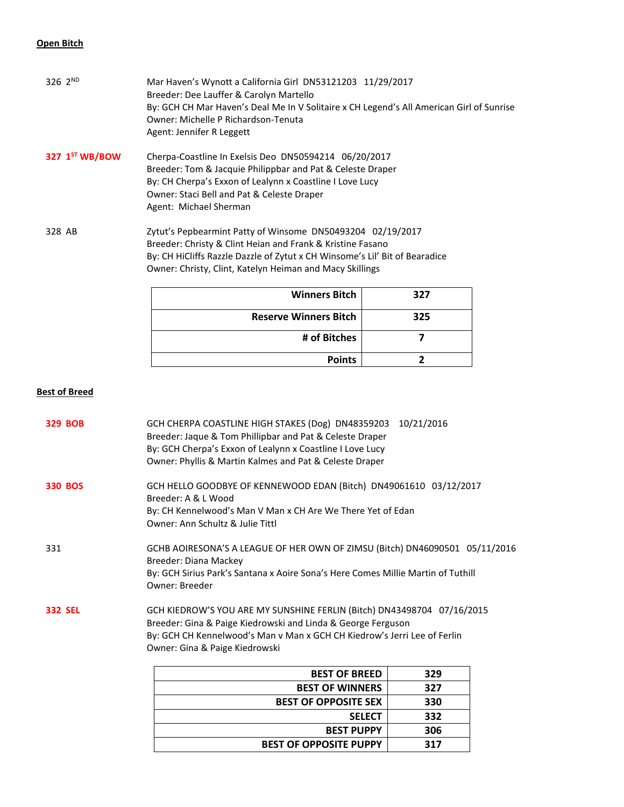## **Open Bitch**

|                     | <b>Winners Bitch</b>                                                                     | 327 |  |  |
|---------------------|------------------------------------------------------------------------------------------|-----|--|--|
|                     | Owner: Christy, Clint, Katelyn Heiman and Macy Skillings                                 |     |  |  |
|                     | By: CH HiCliffs Razzle Dazzle of Zytut x CH Winsome's Lil' Bit of Bearadice              |     |  |  |
|                     | Breeder: Christy & Clint Heian and Frank & Kristine Fasano                               |     |  |  |
| 328 AB              | Zytut's Pepbearmint Patty of Winsome DN50493204 02/19/2017                               |     |  |  |
|                     | Agent: Michael Sherman                                                                   |     |  |  |
|                     | Owner: Staci Bell and Pat & Celeste Draper                                               |     |  |  |
|                     | By: CH Cherpa's Exxon of Lealynn x Coastline I Love Lucy                                 |     |  |  |
|                     | Breeder: Tom & Jacquie Philippbar and Pat & Celeste Draper                               |     |  |  |
| 327 $1ST WB/BOW$    | Cherpa-Coastline In Exelsis Deo DN50594214 06/20/2017                                    |     |  |  |
|                     | Agent: Jennifer R Leggett                                                                |     |  |  |
|                     | Owner: Michelle P Richardson-Tenuta                                                      |     |  |  |
|                     | By: GCH CH Mar Haven's Deal Me In V Solitaire x CH Legend's All American Girl of Sunrise |     |  |  |
|                     | Breeder: Dee Lauffer & Carolyn Martello                                                  |     |  |  |
| 326 2 <sup>ND</sup> | Mar Haven's Wynott a California Girl DN53121203 11/29/2017                               |     |  |  |

| <b>Winners Bitch</b>         | 327 |
|------------------------------|-----|
| <b>Reserve Winners Bitch</b> | 325 |
| # of Bitches                 |     |
| <b>Points</b>                |     |

# **Best of Breed**

| <b>329 BOB</b> | GCH CHERPA COASTLINE HIGH STAKES (Dog) DN48359203 10/21/2016<br>Breeder: Jaque & Tom Phillipbar and Pat & Celeste Draper<br>By: GCH Cherpa's Exxon of Lealynn x Coastline I Love Lucy<br>Owner: Phyllis & Martin Kalmes and Pat & Celeste Draper     |     |  |
|----------------|------------------------------------------------------------------------------------------------------------------------------------------------------------------------------------------------------------------------------------------------------|-----|--|
| <b>330 BOS</b> | GCH HELLO GOODBYE OF KENNEWOOD EDAN (Bitch) DN49061610 03/12/2017<br>Breeder: A & L Wood<br>By: CH Kennelwood's Man V Man x CH Are We There Yet of Edan<br>Owner: Ann Schultz & Julie Tittl                                                          |     |  |
| 331            | GCHB AOIRESONA'S A LEAGUE OF HER OWN OF ZIMSU (Bitch) DN46090501 05/11/2016<br>Breeder: Diana Mackey<br>By: GCH Sirius Park's Santana x Aoire Sona's Here Comes Millie Martin of Tuthill<br>Owner: Breeder                                           |     |  |
| <b>332 SEL</b> | GCH KIEDROW'S YOU ARE MY SUNSHINE FERLIN (Bitch) DN43498704 07/16/2015<br>Breeder: Gina & Paige Kiedrowski and Linda & George Ferguson<br>By: GCH CH Kennelwood's Man v Man x GCH CH Kiedrow's Jerri Lee of Ferlin<br>Owner: Gina & Paige Kiedrowski |     |  |
|                | <b>BEST OF BREED</b>                                                                                                                                                                                                                                 | 329 |  |
|                | <b>BEST OF WINNERS</b>                                                                                                                                                                                                                               | 327 |  |
|                | <b>BEST OF OPPOSITE SEX</b>                                                                                                                                                                                                                          | 330 |  |
|                | <b>SELECT</b>                                                                                                                                                                                                                                        | 332 |  |
|                | <b>BEST PUPPY</b>                                                                                                                                                                                                                                    | 306 |  |

**BEST OF OPPOSITE PUPPY 317**